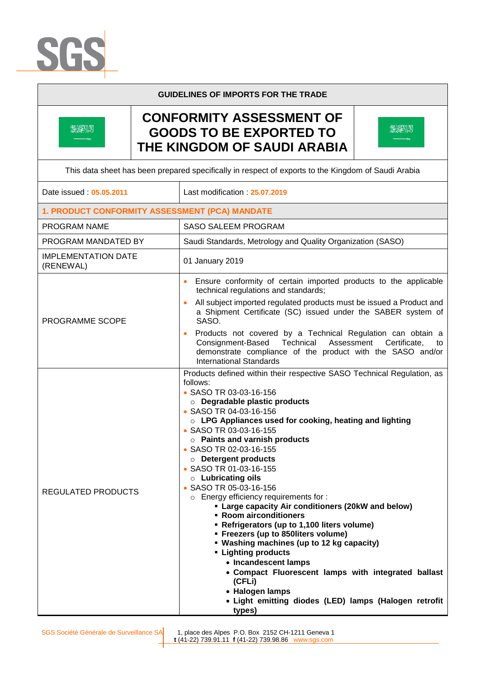



## **GUIDELINES OF IMPORTS FOR THE TRADE**

## **CONFORMITY ASSESSMENT OF GOODS TO BE EXPORTED TO THE KINGDOM OF SAUDI ARABIA**



| This data sheet has been prepared specifically in respect of exports to the Kingdom of Saudi Arabia |                                                                                                                                                                                                                                                                                                                                                                                                                                                                                                                                                                                                                                                                                                                                                                                                                                                                                                                                       |
|-----------------------------------------------------------------------------------------------------|---------------------------------------------------------------------------------------------------------------------------------------------------------------------------------------------------------------------------------------------------------------------------------------------------------------------------------------------------------------------------------------------------------------------------------------------------------------------------------------------------------------------------------------------------------------------------------------------------------------------------------------------------------------------------------------------------------------------------------------------------------------------------------------------------------------------------------------------------------------------------------------------------------------------------------------|
| Date issued: 05.05.2011                                                                             | Last modification: 25.07.2019                                                                                                                                                                                                                                                                                                                                                                                                                                                                                                                                                                                                                                                                                                                                                                                                                                                                                                         |
| 1. PRODUCT CONFORMITY ASSESSMENT (PCA) MANDATE                                                      |                                                                                                                                                                                                                                                                                                                                                                                                                                                                                                                                                                                                                                                                                                                                                                                                                                                                                                                                       |
| PROGRAM NAME                                                                                        | <b>SASO SALEEM PROGRAM</b>                                                                                                                                                                                                                                                                                                                                                                                                                                                                                                                                                                                                                                                                                                                                                                                                                                                                                                            |
| PROGRAM MANDATED BY                                                                                 | Saudi Standards, Metrology and Quality Organization (SASO)                                                                                                                                                                                                                                                                                                                                                                                                                                                                                                                                                                                                                                                                                                                                                                                                                                                                            |
| <b>IMPLEMENTATION DATE</b><br>(RENEWAL)                                                             | 01 January 2019                                                                                                                                                                                                                                                                                                                                                                                                                                                                                                                                                                                                                                                                                                                                                                                                                                                                                                                       |
| <b>PROGRAMME SCOPE</b>                                                                              | Ensure conformity of certain imported products to the applicable<br>technical regulations and standards;<br>All subject imported regulated products must be issued a Product and<br>a Shipment Certificate (SC) issued under the SABER system of<br>SASO.<br>Products not covered by a Technical Regulation can obtain a<br>Consignment-Based Technical Assessment<br>Certificate,<br>to                                                                                                                                                                                                                                                                                                                                                                                                                                                                                                                                              |
|                                                                                                     | demonstrate compliance of the product with the SASO and/or<br><b>International Standards</b>                                                                                                                                                                                                                                                                                                                                                                                                                                                                                                                                                                                                                                                                                                                                                                                                                                          |
| <b>REGULATED PRODUCTS</b>                                                                           | Products defined within their respective SASO Technical Regulation, as<br>follows:<br>• SASO TR 03-03-16-156<br><b>O Degradable plastic products</b><br>• SASO TR 04-03-16-156<br>$\circ$ LPG Appliances used for cooking, heating and lighting<br>• SASO TR 03-03-16-155<br>$\circ$ Paints and varnish products<br>• SASO TR 02-03-16-155<br><b>O</b> Detergent products<br>• SASO TR 01-03-16-155<br><b>O</b> Lubricating oils<br>• SASO TR 05-03-16-156<br>o Energy efficiency requirements for :<br>• Large capacity Air conditioners (20kW and below)<br>• Room airconditioners<br>- Refrigerators (up to 1,100 liters volume)<br>• Freezers (up to 850 liters volume)<br>• Washing machines (up to 12 kg capacity)<br><b>- Lighting products</b><br>• Incandescent lamps<br>• Compact Fluorescent lamps with integrated ballast<br>(CFLi)<br>• Halogen lamps<br>• Light emitting diodes (LED) lamps (Halogen retrofit<br>types) |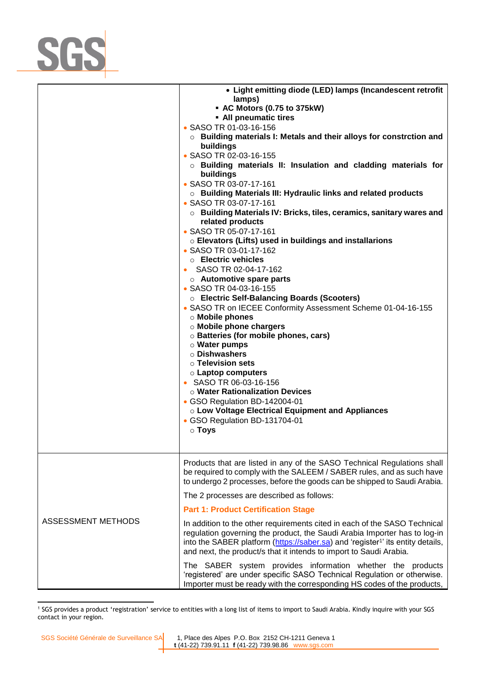

|                           | • Light emitting diode (LED) lamps (Incandescent retrofit<br>lamps)<br>• AC Motors (0.75 to 375kW)<br>• All pneumatic tires<br>• SASO TR 01-03-16-156<br>$\circ$ Building materials I: Metals and their alloys for constrction and<br>buildings<br>• SASO TR 02-03-16-155<br>$\circ$ Building materials II: Insulation and cladding materials for<br>buildings<br>• SASO TR 03-07-17-161<br>o Building Materials III: Hydraulic links and related products<br>• SASO TR 03-07-17-161<br>$\circ$ Building Materials IV: Bricks, tiles, ceramics, sanitary wares and<br>related products<br>• SASO TR 05-07-17-161<br>○ Elevators (Lifts) used in buildings and installarions<br>• SASO TR 03-01-17-162<br>$\circ$ Electric vehicles<br>• SASO TR 02-04-17-162<br>$\circ$ Automotive spare parts<br>• SASO TR 04-03-16-155<br>O Electric Self-Balancing Boards (Scooters)<br>• SASO TR on IECEE Conformity Assessment Scheme 01-04-16-155<br>o Mobile phones<br>o Mobile phone chargers<br>o Batteries (for mobile phones, cars)<br>o Water pumps<br>○ Dishwashers<br>$\circ$ Television sets<br>○ Laptop computers<br>• SASO TR 06-03-16-156<br><b>o Water Rationalization Devices</b> |
|---------------------------|---------------------------------------------------------------------------------------------------------------------------------------------------------------------------------------------------------------------------------------------------------------------------------------------------------------------------------------------------------------------------------------------------------------------------------------------------------------------------------------------------------------------------------------------------------------------------------------------------------------------------------------------------------------------------------------------------------------------------------------------------------------------------------------------------------------------------------------------------------------------------------------------------------------------------------------------------------------------------------------------------------------------------------------------------------------------------------------------------------------------------------------------------------------------------------------|
|                           | • GSO Regulation BD-142004-01<br>○ Low Voltage Electrical Equipment and Appliances<br>• GSO Regulation BD-131704-01<br>$\circ$ Toys                                                                                                                                                                                                                                                                                                                                                                                                                                                                                                                                                                                                                                                                                                                                                                                                                                                                                                                                                                                                                                                   |
|                           | Products that are listed in any of the SASO Technical Regulations shall<br>be required to comply with the SALEEM / SABER rules, and as such have<br>to undergo 2 processes, before the goods can be shipped to Saudi Arabia.                                                                                                                                                                                                                                                                                                                                                                                                                                                                                                                                                                                                                                                                                                                                                                                                                                                                                                                                                          |
|                           | The 2 processes are described as follows:                                                                                                                                                                                                                                                                                                                                                                                                                                                                                                                                                                                                                                                                                                                                                                                                                                                                                                                                                                                                                                                                                                                                             |
|                           | <b>Part 1: Product Certification Stage</b>                                                                                                                                                                                                                                                                                                                                                                                                                                                                                                                                                                                                                                                                                                                                                                                                                                                                                                                                                                                                                                                                                                                                            |
| <b>ASSESSMENT METHODS</b> | In addition to the other requirements cited in each of the SASO Technical<br>regulation governing the product, the Saudi Arabia Importer has to log-in<br>into the SABER platform (https://saber.sa) and 'register <sup>1</sup> ' its entity details,<br>and next, the product/s that it intends to import to Saudi Arabia.                                                                                                                                                                                                                                                                                                                                                                                                                                                                                                                                                                                                                                                                                                                                                                                                                                                           |
|                           | The SABER system provides information whether the products<br>'registered' are under specific SASO Technical Regulation or otherwise.<br>Importer must be ready with the corresponding HS codes of the products,                                                                                                                                                                                                                                                                                                                                                                                                                                                                                                                                                                                                                                                                                                                                                                                                                                                                                                                                                                      |

 $\overline{a}$ 1 SGS provides a product 'registration' service to entities with a long list of items to import to Saudi Arabia. Kindly inquire with your SGS contact in your region.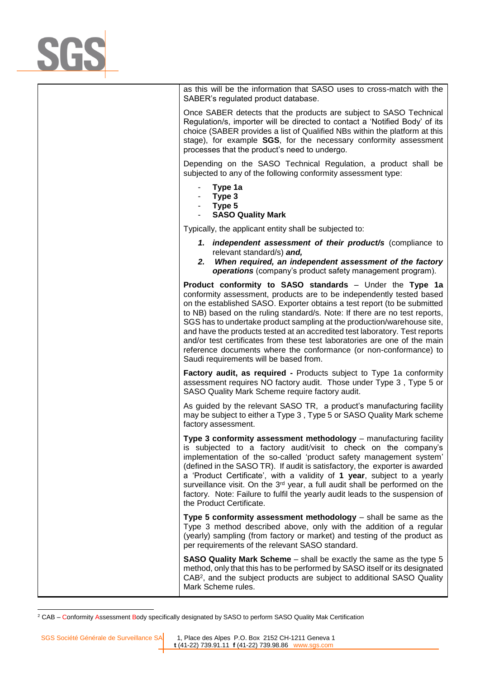

as this will be the information that SASO uses to cross-match with the SABER's regulated product database.

Once SABER detects that the products are subject to SASO Technical Regulation/s, importer will be directed to contact a 'Notified Body' of its choice (SABER provides a list of Qualified NBs within the platform at this stage), for example **SGS**, for the necessary conformity assessment processes that the product's need to undergo.

Depending on the SASO Technical Regulation, a product shall be subjected to any of the following conformity assessment type:

- **Type 1a**
- **Type 3**
- **Type 5**
- **SASO Quality Mark**

Typically, the applicant entity shall be subjected to:

- *1. independent assessment of their product/s* (compliance to relevant standard/s) *and,*
- *2. When required, an independent assessment of the factory operations* (company's product safety management program).

**Product conformity to SASO standards** – Under the **Type 1a** conformity assessment, products are to be independently tested based on the established SASO. Exporter obtains a test report (to be submitted to NB) based on the ruling standard/s. Note: If there are no test reports, SGS has to undertake product sampling at the production/warehouse site, and have the products tested at an accredited test laboratory. Test reports and/or test certificates from these test laboratories are one of the main reference documents where the conformance (or non-conformance) to Saudi requirements will be based from.

**Factory audit, as required -** Products subject to Type 1a conformity assessment requires NO factory audit. Those under Type 3 , Type 5 or SASO Quality Mark Scheme require factory audit.

As guided by the relevant SASO TR, a product's manufacturing facility may be subject to either a Type 3 , Type 5 or SASO Quality Mark scheme factory assessment.

**Type 3 conformity assessment methodology** – manufacturing facility is subjected to a factory audit/visit to check on the company's implementation of the so-called 'product safety management system' (defined in the SASO TR). If audit is satisfactory, the exporter is awarded a 'Product Certificate', with a validity of **1 year**, subject to a yearly surveillance visit. On the 3<sup>rd</sup> year, a full audit shall be performed on the factory. Note: Failure to fulfil the yearly audit leads to the suspension of the Product Certificate.

**Type 5 conformity assessment methodology** – shall be same as the Type 3 method described above, only with the addition of a regular (yearly) sampling (from factory or market) and testing of the product as per requirements of the relevant SASO standard.

**SASO Quality Mark Scheme** – shall be exactly the same as the type 5 method, only that this has to be performed by SASO itself or its designated CAB<sup>2</sup>, and the subject products are subject to additional SASO Quality Mark Scheme rules.

 $\overline{a}$ 

<sup>2</sup> CAB – Conformity Assessment Body specifically designated by SASO to perform SASO Quality Mak Certification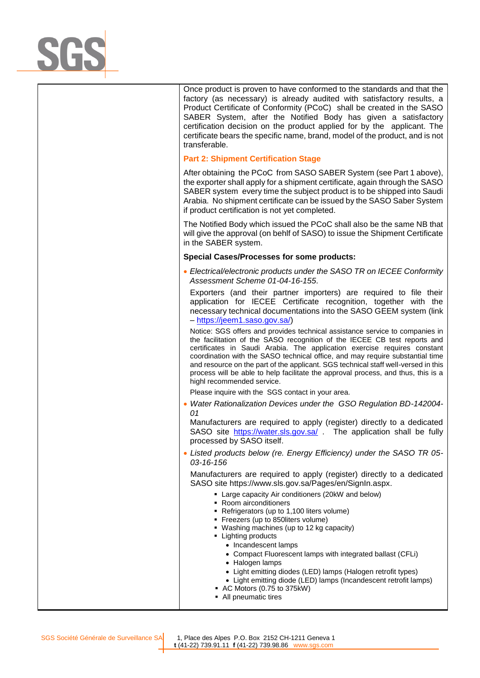

Once product is proven to have conformed to the standards and that the factory (as necessary) is already audited with satisfactory results, a Product Certificate of Conformity (PCoC) shall be created in the SASO SABER System, after the Notified Body has given a satisfactory certification decision on the product applied for by the applicant. The certificate bears the specific name, brand, model of the product, and is not transferable.

## **Part 2: Shipment Certification Stage**

After obtaining the PCoC from SASO SABER System (see Part 1 above), the exporter shall apply for a shipment certificate, again through the SASO SABER system every time the subject product is to be shipped into Saudi Arabia. No shipment certificate can be issued by the SASO Saber System if product certification is not yet completed.

The Notified Body which issued the PCoC shall also be the same NB that will give the approval (on behlf of SASO) to issue the Shipment Certificate in the SABER system.

## **Special Cases/Processes for some products:**

• *Electrical/electronic products under the SASO TR on IECEE Conformity Assessment Scheme 01-04-16-155*.

Exporters (and their partner importers) are required to file their application for IECEE Certificate recognition, together with the necessary technical documentations into the SASO GEEM system (link – [https://jeem1.saso.gov.sa/\)](https://jeem1.saso.gov.sa/)

Notice: SGS offers and provides technical assistance service to companies in the facilitation of the SASO recognition of the IECEE CB test reports and certificates in Saudi Arabia. The application exercise requires constant coordination with the SASO technical office, and may require substantial time and resource on the part of the applicant. SGS technical staff well-versed in this process will be able to help facilitate the approval process, and thus, this is a highl recommended service.

Please inquire with the SGS contact in your area.

• *Water Rationalization Devices under the GSO Regulation BD-142004- 01*

Manufacturers are required to apply (register) directly to a dedicated SASO site <https://water.sls.gov.sa/> . The application shall be fully processed by SASO itself.

• *Listed products below (re. Energy Efficiency) under the SASO TR 05- 03-16-156*

Manufacturers are required to apply (register) directly to a dedicated SASO site https://www.sls.gov.sa/Pages/en/SignIn.aspx.

- Large capacity Air conditioners (20kW and below)
- Room airconditioners
- Refrigerators (up to 1,100 liters volume)
- **Freezers (up to 850liters volume)**
- Washing machines (up to 12 kg capacity)
- **•** Lighting products
	- Incandescent lamps
	- Compact Fluorescent lamps with integrated ballast (CFLi)
	- Halogen lamps
	- Light emitting diodes (LED) lamps (Halogen retrofit types)
	- Light emitting diode (LED) lamps (Incandescent retrofit lamps)
- AC Motors (0.75 to 375kW)
- All pneumatic tires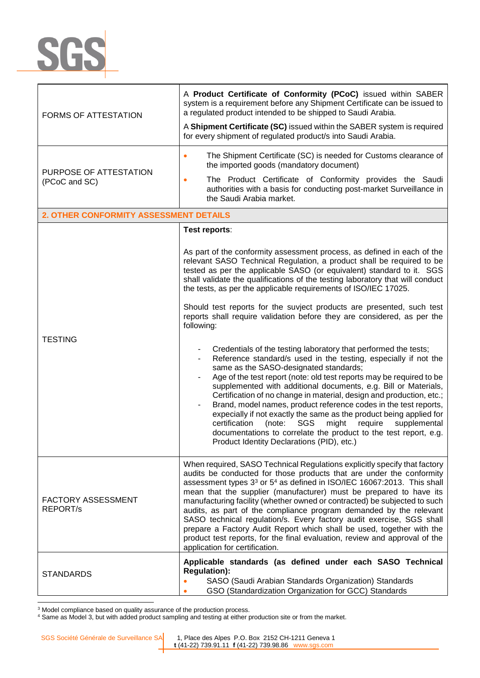

| FORMS OF ATTESTATION                         | A Product Certificate of Conformity (PCoC) issued within SABER<br>system is a requirement before any Shipment Certificate can be issued to<br>a regulated product intended to be shipped to Saudi Arabia.<br>A Shipment Certificate (SC) issued within the SABER system is required<br>for every shipment of regulated product/s into Saudi Arabia.                                                                                                                                                                                                                                                                                                                                                                                                            |  |
|----------------------------------------------|----------------------------------------------------------------------------------------------------------------------------------------------------------------------------------------------------------------------------------------------------------------------------------------------------------------------------------------------------------------------------------------------------------------------------------------------------------------------------------------------------------------------------------------------------------------------------------------------------------------------------------------------------------------------------------------------------------------------------------------------------------------|--|
| PURPOSE OF ATTESTATION<br>(PCoC and SC)      | The Shipment Certificate (SC) is needed for Customs clearance of<br>$\bullet$<br>the imported goods (mandatory document)<br>The Product Certificate of Conformity provides the Saudi<br>authorities with a basis for conducting post-market Surveillance in<br>the Saudi Arabia market.                                                                                                                                                                                                                                                                                                                                                                                                                                                                        |  |
| 2. OTHER CONFORMITY ASSESSMENT DETAILS       |                                                                                                                                                                                                                                                                                                                                                                                                                                                                                                                                                                                                                                                                                                                                                                |  |
|                                              | Test reports:                                                                                                                                                                                                                                                                                                                                                                                                                                                                                                                                                                                                                                                                                                                                                  |  |
| <b>TESTING</b>                               | As part of the conformity assessment process, as defined in each of the<br>relevant SASO Technical Regulation, a product shall be required to be<br>tested as per the applicable SASO (or equivalent) standard to it. SGS<br>shall validate the qualifications of the testing laboratory that will conduct<br>the tests, as per the applicable requirements of ISO/IEC 17025.                                                                                                                                                                                                                                                                                                                                                                                  |  |
|                                              | Should test reports for the suvject products are presented, such test<br>reports shall require validation before they are considered, as per the<br>following:                                                                                                                                                                                                                                                                                                                                                                                                                                                                                                                                                                                                 |  |
|                                              | Credentials of the testing laboratory that performed the tests;<br>Reference standard/s used in the testing, especially if not the<br>$\overline{\phantom{a}}$<br>same as the SASO-designated standards;<br>Age of the test report (note: old test reports may be required to be<br>supplemented with additional documents, e.g. Bill or Materials,<br>Certification of no change in material, design and production, etc.;<br>Brand, model names, product reference codes in the test reports,<br>expecially if not exactly the same as the product being applied for<br>certification<br>(note:<br>SGS<br>might<br>require<br>supplemental<br>documentations to correlate the product to the test report, e.g.<br>Product Identity Declarations (PID), etc.) |  |
| <b>FACTORY ASSESSMENT</b><br><b>REPORT/s</b> | When required, SASO Technical Regulations explicitly specify that factory<br>audits be conducted for those products that are under the conformity<br>assessment types 3 <sup>3</sup> or 5 <sup>4</sup> as defined in ISO/IEC 16067:2013. This shall<br>mean that the supplier (manufacturer) must be prepared to have its<br>manufacturing facility (whether owned or contracted) be subjected to such<br>audits, as part of the compliance program demanded by the relevant<br>SASO technical regulation/s. Every factory audit exercise, SGS shall<br>prepare a Factory Audit Report which shall be used, together with the<br>product test reports, for the final evaluation, review and approval of the<br>application for certification.                  |  |
| <b>STANDARDS</b>                             | Applicable standards (as defined under each SASO Technical<br><b>Regulation):</b><br>SASO (Saudi Arabian Standards Organization) Standards<br>GSO (Standardization Organization for GCC) Standards                                                                                                                                                                                                                                                                                                                                                                                                                                                                                                                                                             |  |

<sup>&</sup>lt;sup>3</sup> Model compliance based on quality assurance of the production process.

<sup>&</sup>lt;sup>4</sup> Same as Model 3, but with added product sampling and testing at either production site or from the market.